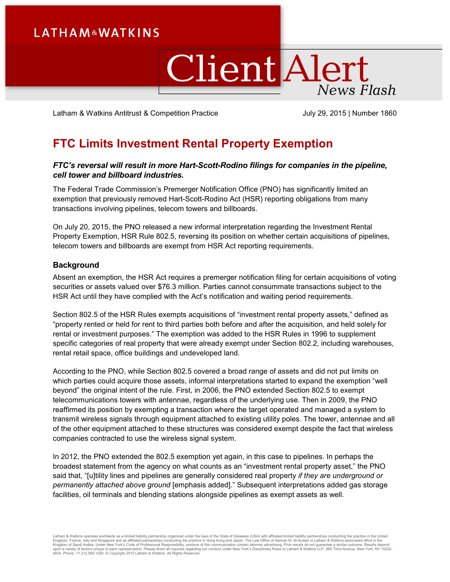# **LATHAM&WATKINS**

# ClientAlert **News Flash**

Latham & Watkins Antitrust & Competition Practice July 29, 2015 | Number 1860

# **FTC Limits Investment Rental Property Exemption**

# *FTC's reversal will result in more Hart-Scott-Rodino filings for companies in the pipeline, cell tower and billboard industries.*

The Federal Trade Commission's Premerger Notification Office (PNO) has significantly limited an exemption that previously removed Hart-Scott-Rodino Act (HSR) reporting obligations from many transactions involving pipelines, telecom towers and billboards.

On July 20, 2015, the PNO released a new informal interpretation regarding the Investment Rental Property Exemption, HSR Rule 802.5, reversing its position on whether certain acquisitions of pipelines, telecom towers and billboards are exempt from HSR Act reporting requirements.

# **Background**

Absent an exemption, the HSR Act requires a premerger notification filing for certain acquisitions of voting securities or assets valued over \$76.3 million. Parties cannot consummate transactions subject to the HSR Act until they have complied with the Act's notification and waiting period requirements.

Section 802.5 of the HSR Rules exempts acquisitions of "investment rental property assets," defined as "property rented or held for rent to third parties both before and after the acquisition, and held solely for rental or investment purposes." The exemption was added to the HSR Rules in 1996 to supplement specific categories of real property that were already exempt under Section 802.2, including warehouses, rental retail space, office buildings and undeveloped land.

According to the PNO, while Section 802.5 covered a broad range of assets and did not put limits on which parties could acquire those assets, informal interpretations started to expand the exemption "well beyond" the original intent of the rule. First, in 2006, the PNO extended Section 802.5 to exempt telecommunications towers with antennae, regardless of the underlying use. Then in 2009, the PNO reaffirmed its position by exempting a transaction where the target operated and managed a system to transmit wireless signals through equipment attached to existing utility poles. The tower, antennae and all of the other equipment attached to these structures was considered exempt despite the fact that wireless companies contracted to use the wireless signal system.

In 2012, the PNO extended the 802.5 exemption yet again, in this case to pipelines. In perhaps the broadest statement from the agency on what counts as an "investment rental property asset," the PNO said that, "[u]tility lines and pipelines are generally considered real property *if they are underground or permanently attached above ground* [emphasis added]." Subsequent interpretations added gas storage facilities, oil terminals and blending stations alongside pipelines as exempt assets as well.

Latham & Watkins operates wordwide as a limited liability partnership organized under the laws of the State of Delaware (USA) with affiliated plimited liability partnerships conducting the practice in the United Limited Li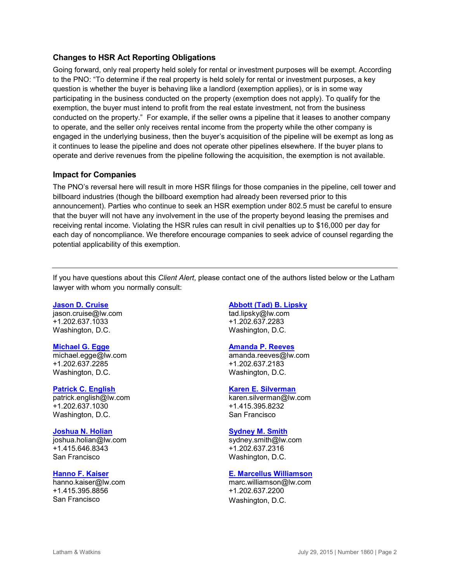# **Changes to HSR Act Reporting Obligations**

Going forward, only real property held solely for rental or investment purposes will be exempt. According to the PNO: "To determine if the real property is held solely for rental or investment purposes, a key question is whether the buyer is behaving like a landlord (exemption applies), or is in some way participating in the business conducted on the property (exemption does not apply). To qualify for the exemption, the buyer must intend to profit from the real estate investment, not from the business conducted on the property." For example, if the seller owns a pipeline that it leases to another company to operate, and the seller only receives rental income from the property while the other company is engaged in the underlying business, then the buyer's acquisition of the pipeline will be exempt as long as it continues to lease the pipeline and does not operate other pipelines elsewhere. If the buyer plans to operate and derive revenues from the pipeline following the acquisition, the exemption is not available.

## **Impact for Companies**

The PNO's reversal here will result in more HSR filings for those companies in the pipeline, cell tower and billboard industries (though the billboard exemption had already been reversed prior to this announcement). Parties who continue to seek an HSR exemption under 802.5 must be careful to ensure that the buyer will not have any involvement in the use of the property beyond leasing the premises and receiving rental income. Violating the HSR rules can result in civil penalties up to \$16,000 per day for each day of noncompliance. We therefore encourage companies to seek advice of counsel regarding the potential applicability of this exemption.

If you have questions about this *Client Alert*, please contact one of the authors listed below or the Latham lawyer with whom you normally consult:

#### **[Jason D. Cruise](http://www.lw.com/people/jason-cruise)**

[jason.cruise@lw.com](mailto:jason.cruise@lw.com) +1.202.637.1033 Washington, D.C.

#### **[Michael G. Egge](https://www.lw.com/people/michael-egge)**

[michael.egge@lw.com](mailto:michael.egge@lw.com) +1.202.637.2285 Washington, D.C.

#### **[Patrick C. English](http://www.lw.com/people/patrick-english)**

[patrick.english@lw.com](mailto:patrick.english@lw.com) +1.202.637.1030 Washington, D.C.

#### **[Joshua N. Holian](http://www.lw.com/people/joshua-holian)**

[joshua.holian@lw.com](mailto:joshua.holian@lw.com) +1.415.646.8343 San Francisco

# **[Hanno F. Kaiser](http://www.lw.com/people/hanno-kaiser)**

[hanno.kaiser@lw.com](mailto:hanno.kaiser@lw.com) +1.415.395.8856 San Francisco

### **[Abbott \(Tad\) B. Lipsky](http://www.lw.com/people/tad-lipsky)**

[tad.lipsky@lw.com](mailto:tad.lipsky@lw.com) +1.202.637.2283 Washington, D.C.

#### **[Amanda P. Reeves](http://www.lw.com/people/amanda-reeves)**

[amanda.reeves@lw.com](mailto:amanda.reeves@lw.com) +1.202.637.2183 Washington, D.C.

#### **[Karen E. Silverman](http://www.lw.com/people/karen-silverman)**

[karen.silverman@lw.com](mailto:karen.silverman@lw.com) +1.415.395.8232 San Francisco

#### **[Sydney M. Smith](http://www.lw.com/people/sydney-smith)**

[sydney.smith@lw.com](mailto:sydney.smith@lw.com) +1.202.637.2316 Washington, D.C.

#### **[E. Marcellus Williamson](http://www.lw.com/people/marc-williamson)**

[marc.williamson@lw.com](mailto:marc.williamson@lw.com) +1.202.637.2200 Washington, D.C.